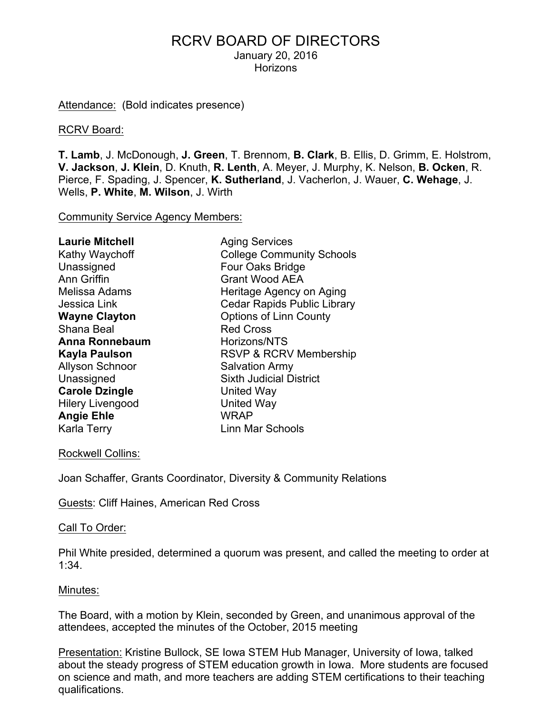# RCRV BOARD OF DIRECTORS January 20, 2016

**Horizons** 

Attendance: (Bold indicates presence)

#### RCRV Board:

**T. Lamb**, J. McDonough, **J. Green**, T. Brennom, **B. Clark**, B. Ellis, D. Grimm, E. Holstrom, **V. Jackson**, **J. Klein**, D. Knuth, **R. Lenth**, A. Meyer, J. Murphy, K. Nelson, **B. Ocken**, R. Pierce, F. Spading, J. Spencer, **K. Sutherland**, J. Vacherlon, J. Wauer, **C. Wehage**, J. Wells, **P. White**, **M. Wilson**, J. Wirth

Community Service Agency Members:

| <b>Laurie Mitchell</b>  | <b>Aging Services</b>              |
|-------------------------|------------------------------------|
| Kathy Waychoff          | <b>College Community Schools</b>   |
| Unassigned              | Four Oaks Bridge                   |
| <b>Ann Griffin</b>      | <b>Grant Wood AEA</b>              |
| Melissa Adams           | Heritage Agency on Aging           |
| Jessica Link            | <b>Cedar Rapids Public Library</b> |
| <b>Wayne Clayton</b>    | <b>Options of Linn County</b>      |
| Shana Beal              | <b>Red Cross</b>                   |
| <b>Anna Ronnebaum</b>   | Horizons/NTS                       |
| Kayla Paulson           | RSVP & RCRV Membership             |
| <b>Allyson Schnoor</b>  | <b>Salvation Army</b>              |
| Unassigned              | <b>Sixth Judicial District</b>     |
| <b>Carole Dzingle</b>   | United Way                         |
| <b>Hilery Livengood</b> | <b>United Way</b>                  |
| <b>Angie Ehle</b>       | <b>WRAP</b>                        |
| Karla Terry             | Linn Mar Schools                   |

#### Rockwell Collins:

Joan Schaffer, Grants Coordinator, Diversity & Community Relations

Guests: Cliff Haines, American Red Cross

#### Call To Order:

Phil White presided, determined a quorum was present, and called the meeting to order at 1:34.

#### Minutes:

The Board, with a motion by Klein, seconded by Green, and unanimous approval of the attendees, accepted the minutes of the October, 2015 meeting

Presentation: Kristine Bullock, SE Iowa STEM Hub Manager, University of Iowa, talked about the steady progress of STEM education growth in Iowa. More students are focused on science and math, and more teachers are adding STEM certifications to their teaching qualifications.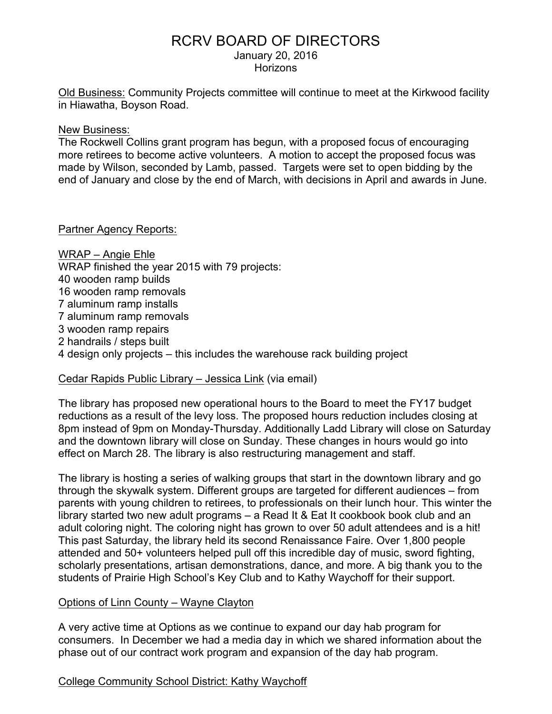# RCRV BOARD OF DIRECTORS

January 20, 2016

**Horizons** 

Old Business: Community Projects committee will continue to meet at the Kirkwood facility in Hiawatha, Boyson Road.

New Business:

The Rockwell Collins grant program has begun, with a proposed focus of encouraging more retirees to become active volunteers. A motion to accept the proposed focus was made by Wilson, seconded by Lamb, passed. Targets were set to open bidding by the end of January and close by the end of March, with decisions in April and awards in June.

#### Partner Agency Reports:

WRAP – Angie Ehle WRAP finished the year 2015 with 79 projects: 40 wooden ramp builds 16 wooden ramp removals 7 aluminum ramp installs 7 aluminum ramp removals 3 wooden ramp repairs 2 handrails / steps built 4 design only projects – this includes the warehouse rack building project

#### Cedar Rapids Public Library – Jessica Link (via email)

The library has proposed new operational hours to the Board to meet the FY17 budget reductions as a result of the levy loss. The proposed hours reduction includes closing at 8pm instead of 9pm on Monday-Thursday. Additionally Ladd Library will close on Saturday and the downtown library will close on Sunday. These changes in hours would go into effect on March 28. The library is also restructuring management and staff.

The library is hosting a series of walking groups that start in the downtown library and go through the skywalk system. Different groups are targeted for different audiences – from parents with young children to retirees, to professionals on their lunch hour. This winter the library started two new adult programs – a Read It & Eat It cookbook book club and an adult coloring night. The coloring night has grown to over 50 adult attendees and is a hit! This past Saturday, the library held its second Renaissance Faire. Over 1,800 people attended and 50+ volunteers helped pull off this incredible day of music, sword fighting, scholarly presentations, artisan demonstrations, dance, and more. A big thank you to the students of Prairie High School's Key Club and to Kathy Waychoff for their support.

## Options of Linn County – Wayne Clayton

A very active time at Options as we continue to expand our day hab program for consumers. In December we had a media day in which we shared information about the phase out of our contract work program and expansion of the day hab program.

# College Community School District: Kathy Waychoff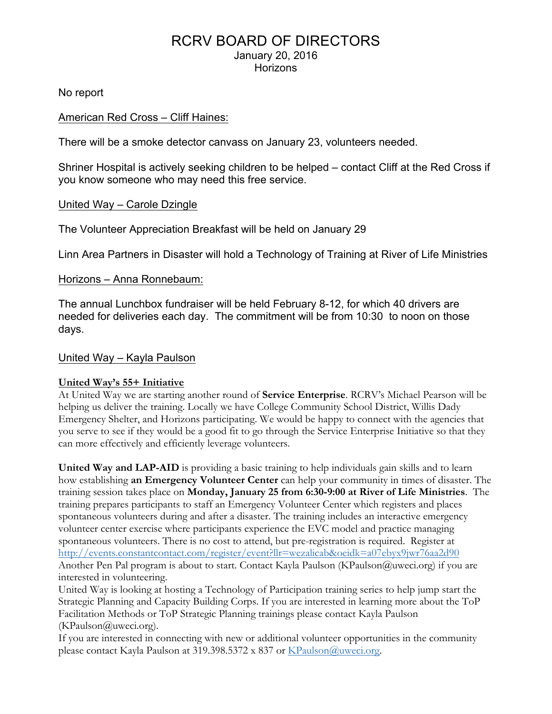## RCRV BOARD OF DIRECTORS January 20, 2016 **Horizons**

No report

#### American Red Cross – Cliff Haines:

There will be a smoke detector canvass on January 23, volunteers needed.

Shriner Hospital is actively seeking children to be helped – contact Cliff at the Red Cross if you know someone who may need this free service.

#### United Way – Carole Dzingle

The Volunteer Appreciation Breakfast will be held on January 29

Linn Area Partners in Disaster will hold a Technology of Training at River of Life Ministries

#### Horizons – Anna Ronnebaum:

The annual Lunchbox fundraiser will be held February 8-12, for which 40 drivers are needed for deliveries each day. The commitment will be from 10:30 to noon on those days.

#### United Way – Kayla Paulson

#### **United Way's 55+ Initiative**

At United Way we are starting another round of **Service Enterprise**. RCRV's Michael Pearson will be helping us deliver the training. Locally we have College Community School District, Willis Dady Emergency Shelter, and Horizons participating. We would be happy to connect with the agencies that you serve to see if they would be a good fit to go through the Service Enterprise Initiative so that they can more effectively and efficiently leverage volunteers.

**United Way and LAP-AID** is providing a basic training to help individuals gain skills and to learn how establishing **an Emergency Volunteer Center** can help your community in times of disaster. The training session takes place on **Monday, January 25 from 6:30-9:00 at River of Life Ministries**. The training prepares participants to staff an Emergency Volunteer Center which registers and places spontaneous volunteers during and after a disaster. The training includes an interactive emergency volunteer center exercise where participants experience the EVC model and practice managing spontaneous volunteers. There is no cost to attend, but pre-registration is required. Register at http://events.constantcontact.com/register/event?llr=wezalicab&oeidk=a07ebyx9jwr76aa2d90 Another Pen Pal program is about to start. Contact Kayla Paulson (KPaulson@uweci.org) if you are interested in volunteering.

United Way is looking at hosting a Technology of Participation training series to help jump start the Strategic Planning and Capacity Building Corps. If you are interested in learning more about the ToP Facilitation Methods or ToP Strategic Planning trainings please contact Kayla Paulson (KPaulson@uweci.org).

If you are interested in connecting with new or additional volunteer opportunities in the community please contact Kayla Paulson at 319.398.5372 x 837 or KPaulson@uweci.org.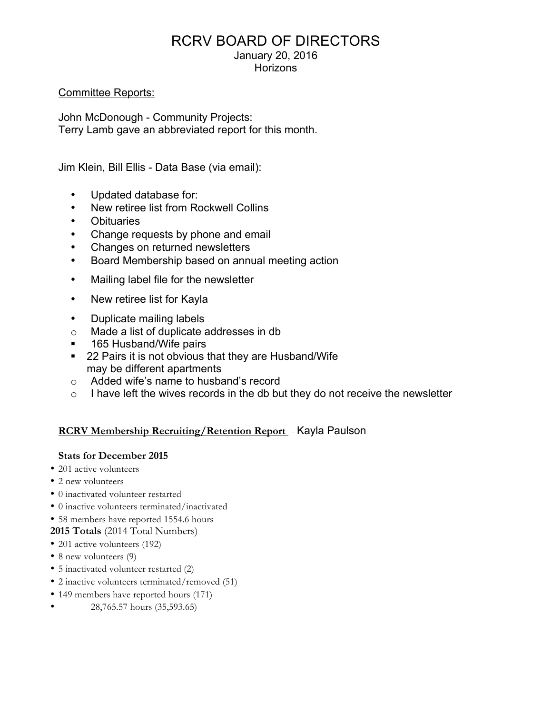# RCRV BOARD OF DIRECTORS

January 20, 2016

**Horizons** 

### Committee Reports:

John McDonough - Community Projects: Terry Lamb gave an abbreviated report for this month.

Jim Klein, Bill Ellis - Data Base (via email):

- Updated database for:
- New retiree list from Rockwell Collins
- **Obituaries**
- Change requests by phone and email
- Changes on returned newsletters
- Board Membership based on annual meeting action
- Mailing label file for the newsletter
- New retiree list for Kayla
- Duplicate mailing labels
- o Made a list of duplicate addresses in db
- 165 Husband/Wife pairs
- ! 22 Pairs it is not obvious that they are Husband/Wife may be different apartments
- o Added wife's name to husband's record
- $\circ$  I have left the wives records in the db but they do not receive the newsletter

## **RCRV Membership Recruiting/Retention Report** - Kayla Paulson

#### **Stats for December 2015**

- 201 active volunteers
- 2 new volunteers
- 0 inactivated volunteer restarted
- 0 inactive volunteers terminated/inactivated
- 58 members have reported 1554.6 hours

**2015 Totals** (2014 Total Numbers)

- 201 active volunteers (192)
- 8 new volunteers (9)
- 5 inactivated volunteer restarted (2)
- 2 inactive volunteers terminated/removed (51)
- 149 members have reported hours (171)
- 28,765.57 hours (35,593.65)